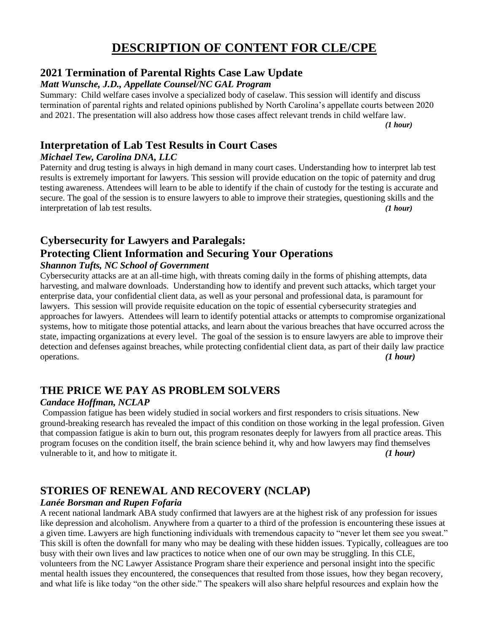## **DESCRIPTION OF CONTENT FOR CLE/CPE**

## **2021 Termination of Parental Rights Case Law Update**

#### *Matt Wunsche, J.D., Appellate Counsel/NC GAL Program*

Summary: Child welfare cases involve a specialized body of caselaw. This session will identify and discuss termination of parental rights and related opinions published by North Carolina's appellate courts between 2020 and 2021. The presentation will also address how those cases affect relevant trends in child welfare law.

*(1 hour)*

## **Interpretation of Lab Test Results in Court Cases**

### *Michael Tew, Carolina DNA, LLC*

Paternity and drug testing is always in high demand in many court cases. Understanding how to interpret lab test results is extremely important for lawyers. This session will provide education on the topic of paternity and drug testing awareness. Attendees will learn to be able to identify if the chain of custody for the testing is accurate and secure. The goal of the session is to ensure lawyers to able to improve their strategies, questioning skills and the interpretation of lab test results. *(1 hour)*

# **Cybersecurity for Lawyers and Paralegals: Protecting Client Information and Securing Your Operations**

#### *Shannon Tufts, NC School of Government*

Cybersecurity attacks are at an all-time high, with threats coming daily in the forms of phishing attempts, data harvesting, and malware downloads. Understanding how to identify and prevent such attacks, which target your enterprise data, your confidential client data, as well as your personal and professional data, is paramount for lawyers. This session will provide requisite education on the topic of essential cybersecurity strategies and approaches for lawyers. Attendees will learn to identify potential attacks or attempts to compromise organizational systems, how to mitigate those potential attacks, and learn about the various breaches that have occurred across the state, impacting organizations at every level. The goal of the session is to ensure lawyers are able to improve their detection and defenses against breaches, while protecting confidential client data, as part of their daily law practice operations. *(1 hour)*

## **THE PRICE WE PAY AS PROBLEM SOLVERS**

#### *Candace Hoffman, NCLAP*

Compassion fatigue has been widely studied in social workers and first responders to crisis situations. New ground-breaking research has revealed the impact of this condition on those working in the legal profession. Given that compassion fatigue is akin to burn out, this program resonates deeply for lawyers from all practice areas. This program focuses on the condition itself, the brain science behind it, why and how lawyers may find themselves vulnerable to it, and how to mitigate it. *(1 hour)*

## **STORIES OF RENEWAL AND RECOVERY (NCLAP)**

## *Lanée Borsman and Rupen Fofaria*

A recent national landmark ABA study confirmed that lawyers are at the highest risk of any profession for issues like depression and alcoholism. Anywhere from a quarter to a third of the profession is encountering these issues at a given time. Lawyers are high functioning individuals with tremendous capacity to "never let them see you sweat." This skill is often the downfall for many who may be dealing with these hidden issues. Typically, colleagues are too busy with their own lives and law practices to notice when one of our own may be struggling. In this CLE, volunteers from the NC Lawyer Assistance Program share their experience and personal insight into the specific mental health issues they encountered, the consequences that resulted from those issues, how they began recovery, and what life is like today "on the other side." The speakers will also share helpful resources and explain how the